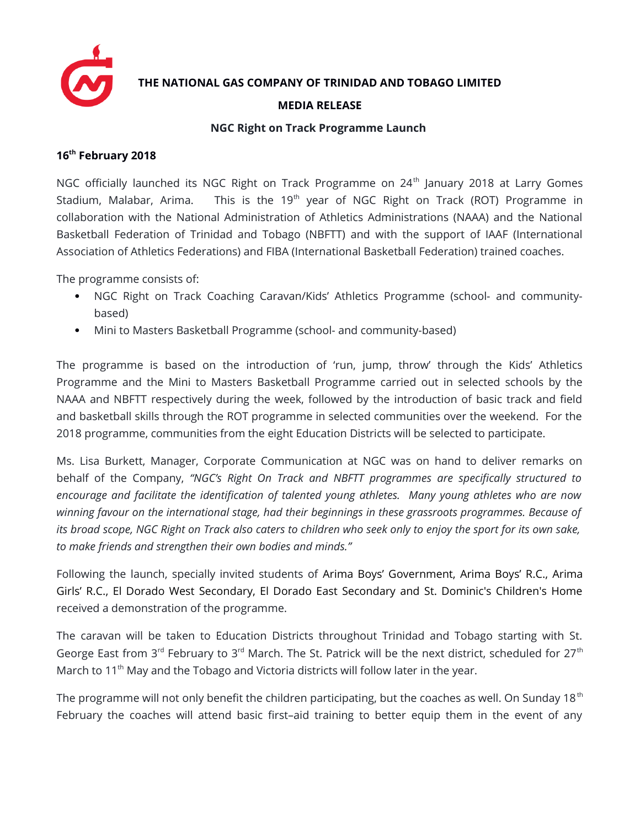

**THE NATIONAL GAS COMPANY OF TRINIDAD AND TOBAGO LIMITED**

## **MEDIA RELEASE**

## **NGC Right on Track Programme Launch**

## **16th February 2018**

NGC officially launched its NGC Right on Track Programme on 24<sup>th</sup> January 2018 at Larry Gomes Stadium, Malabar, Arima. This is the 19<sup>th</sup> year of NGC Right on Track (ROT) Programme in collaboration with the National Administration of Athletics Administrations (NAAA) and the National Basketball Federation of Trinidad and Tobago (NBFTT) and with the support of IAAF (International Association of Athletics Federations) and FIBA (International Basketball Federation) trained coaches.

The programme consists of:

- NGC Right on Track Coaching Caravan/Kids' Athletics Programme (school- and communitybased)
- Mini to Masters Basketball Programme (school- and community-based)

The programme is based on the introduction of 'run, jump, throw' through the Kids' Athletics Programme and the Mini to Masters Basketball Programme carried out in selected schools by the NAAA and NBFTT respectively during the week, followed by the introduction of basic track and field and basketball skills through the ROT programme in selected communities over the weekend. For the 2018 programme, communities from the eight Education Districts will be selected to participate.

Ms. Lisa Burkett, Manager, Corporate Communication at NGC was on hand to deliver remarks on behalf of the Company, *"NGC's Right On Track and NBFTT programmes are specifically structured to encourage and facilitate the identification of talented young athletes. Many young athletes who are now winning favour on the international stage, had their beginnings in these grassroots programmes. Because of its broad scope, NGC Right on Track also caters to children who seek only to enjoy the sport for its own sake, to make friends and strengthen their own bodies and minds."*

Following the launch, specially invited students of Arima Boys' Government, Arima Boys' R.C., Arima Girls' R.C., El Dorado West Secondary, El Dorado East Secondary and St. Dominic's Children's Home received a demonstration of the programme.

The caravan will be taken to Education Districts throughout Trinidad and Tobago starting with St. George East from  $3^{rd}$  February to  $3^{rd}$  March. The St. Patrick will be the next district, scheduled for  $27^{th}$ March to  $11<sup>th</sup>$  May and the Tobago and Victoria districts will follow later in the year.

The programme will not only benefit the children participating, but the coaches as well. On Sunday 18<sup>th</sup> February the coaches will attend basic first-aid training to better equip them in the event of any